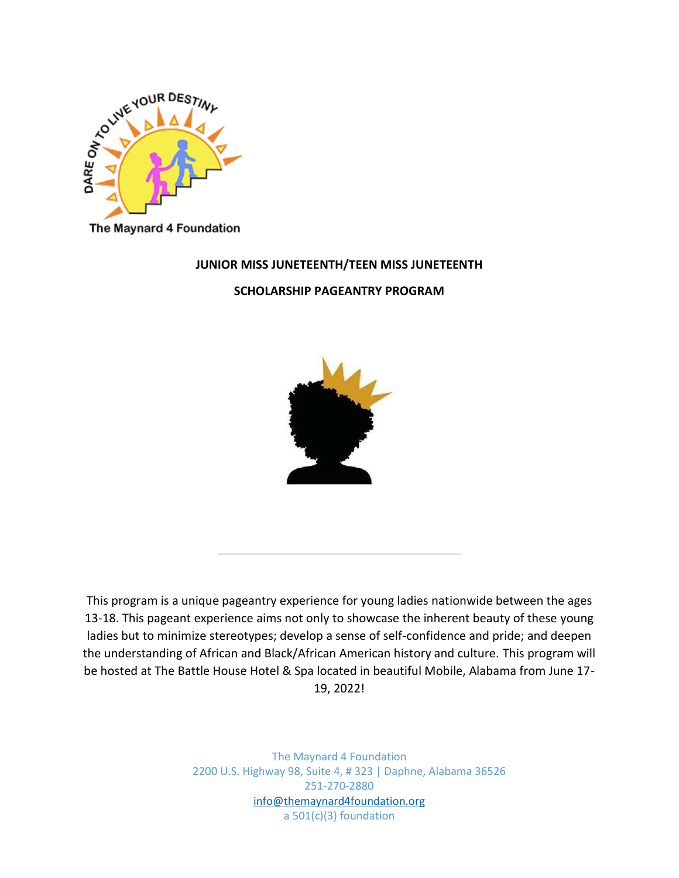

The Maynard 4 Foundation

### **JUNIOR MISS JUNETEENTH/TEEN MISS JUNETEENTH**

**SCHOLARSHIP PAGEANTRY PROGRAM**



This program is a unique pageantry experience for young ladies nationwide between the ages 13-18. This pageant experience aims not only to showcase the inherent beauty of these young ladies but to minimize stereotypes; develop a sense of self-confidence and pride; and deepen the understanding of African and Black/African American history and culture. This program will be hosted at The Battle House Hotel & Spa located in beautiful Mobile, Alabama from June 17- 19, 2022!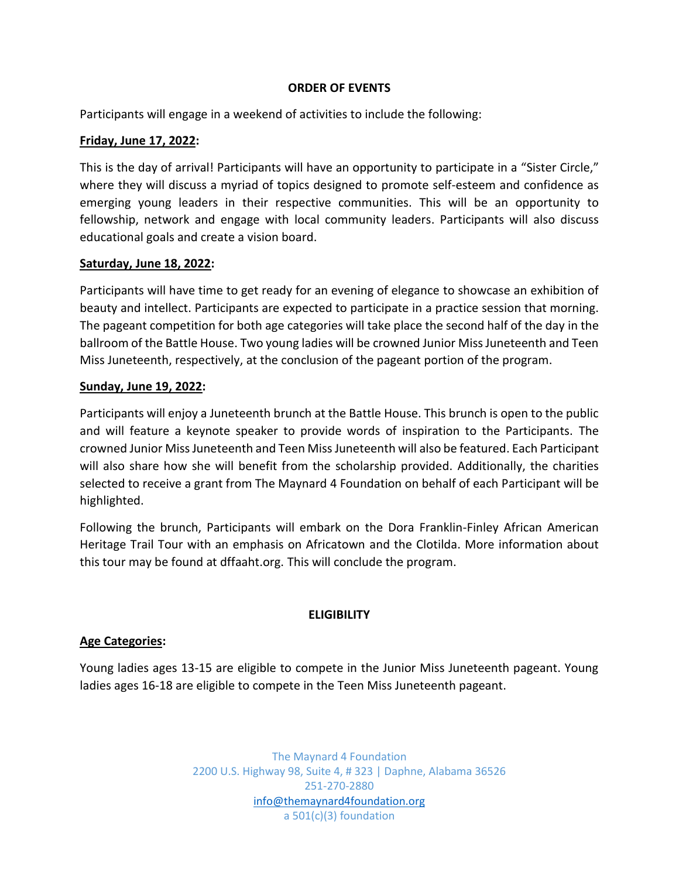## **ORDER OF EVENTS**

Participants will engage in a weekend of activities to include the following:

### **Friday, June 17, 2022:**

This is the day of arrival! Participants will have an opportunity to participate in a "Sister Circle," where they will discuss a myriad of topics designed to promote self-esteem and confidence as emerging young leaders in their respective communities. This will be an opportunity to fellowship, network and engage with local community leaders. Participants will also discuss educational goals and create a vision board.

### **Saturday, June 18, 2022:**

Participants will have time to get ready for an evening of elegance to showcase an exhibition of beauty and intellect. Participants are expected to participate in a practice session that morning. The pageant competition for both age categories will take place the second half of the day in the ballroom of the Battle House. Two young ladies will be crowned Junior Miss Juneteenth and Teen Miss Juneteenth, respectively, at the conclusion of the pageant portion of the program.

### **Sunday, June 19, 2022:**

Participants will enjoy a Juneteenth brunch at the Battle House. This brunch is open to the public and will feature a keynote speaker to provide words of inspiration to the Participants. The crowned Junior Miss Juneteenth and Teen Miss Juneteenth will also be featured. Each Participant will also share how she will benefit from the scholarship provided. Additionally, the charities selected to receive a grant from The Maynard 4 Foundation on behalf of each Participant will be highlighted.

Following the brunch, Participants will embark on the Dora Franklin-Finley African American Heritage Trail Tour with an emphasis on Africatown and the Clotilda. More information about this tour may be found at dffaaht.org. This will conclude the program.

## **ELIGIBILITY**

## **Age Categories:**

Young ladies ages 13-15 are eligible to compete in the Junior Miss Juneteenth pageant. Young ladies ages 16-18 are eligible to compete in the Teen Miss Juneteenth pageant.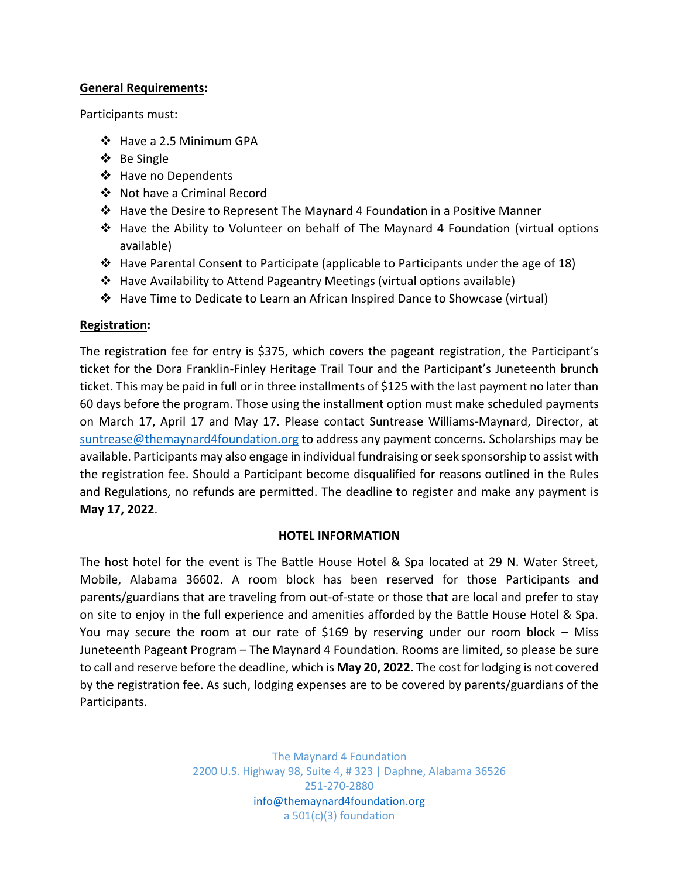## **General Requirements:**

Participants must:

- ❖ Have a 2.5 Minimum GPA
- ❖ Be Single
- ❖ Have no Dependents
- Not have a Criminal Record
- Have the Desire to Represent The Maynard 4 Foundation in a Positive Manner
- $\div$  Have the Ability to Volunteer on behalf of The Maynard 4 Foundation (virtual options available)
- $\cdot$  Have Parental Consent to Participate (applicable to Participants under the age of 18)
- Have Availability to Attend Pageantry Meetings (virtual options available)
- Have Time to Dedicate to Learn an African Inspired Dance to Showcase (virtual)

## **Registration:**

The registration fee for entry is \$375, which covers the pageant registration, the Participant's ticket for the Dora Franklin-Finley Heritage Trail Tour and the Participant's Juneteenth brunch ticket. This may be paid in full or in three installments of \$125 with the last payment no later than 60 days before the program. Those using the installment option must make scheduled payments on March 17, April 17 and May 17. Please contact Suntrease Williams-Maynard, Director, at [suntrease@themaynard4foundation.org](mailto:suntrease@themaynard4foundation.org) to address any payment concerns. Scholarships may be available. Participants may also engage in individual fundraising or seek sponsorship to assist with the registration fee. Should a Participant become disqualified for reasons outlined in the Rules and Regulations, no refunds are permitted. The deadline to register and make any payment is **May 17, 2022**.

## **HOTEL INFORMATION**

The host hotel for the event is The Battle House Hotel & Spa located at 29 N. Water Street, Mobile, Alabama 36602. A room block has been reserved for those Participants and parents/guardians that are traveling from out-of-state or those that are local and prefer to stay on site to enjoy in the full experience and amenities afforded by the Battle House Hotel & Spa. You may secure the room at our rate of \$169 by reserving under our room block – Miss Juneteenth Pageant Program – The Maynard 4 Foundation. Rooms are limited, so please be sure to call and reserve before the deadline, which is **May 20, 2022**. The cost for lodging is not covered by the registration fee. As such, lodging expenses are to be covered by parents/guardians of the Participants.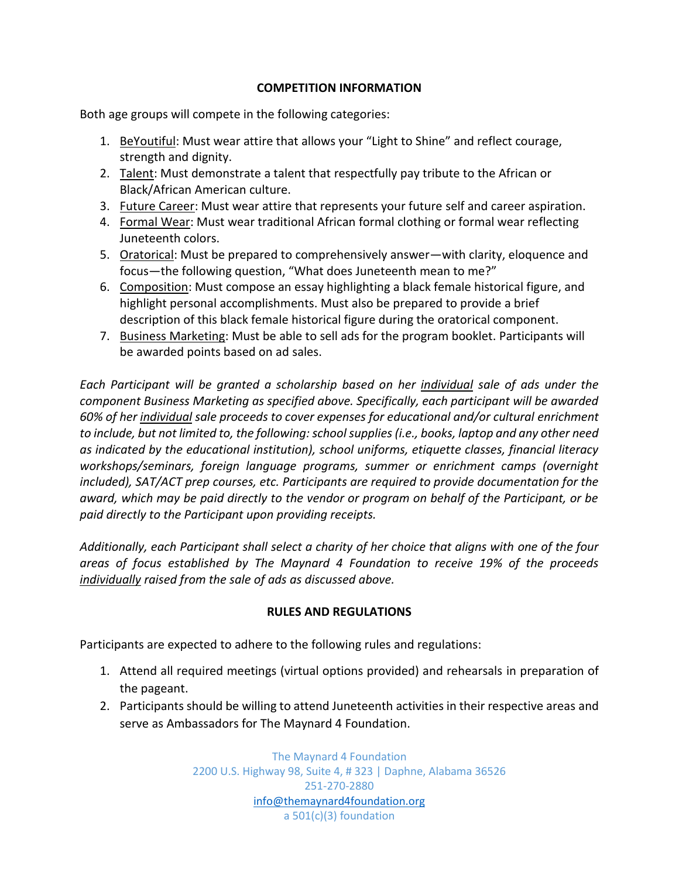# **COMPETITION INFORMATION**

Both age groups will compete in the following categories:

- 1. BeYoutiful: Must wear attire that allows your "Light to Shine" and reflect courage, strength and dignity.
- 2. Talent: Must demonstrate a talent that respectfully pay tribute to the African or Black/African American culture.
- 3. Future Career: Must wear attire that represents your future self and career aspiration.
- 4. Formal Wear: Must wear traditional African formal clothing or formal wear reflecting Juneteenth colors.
- 5. Oratorical: Must be prepared to comprehensively answer—with clarity, eloquence and focus—the following question, "What does Juneteenth mean to me?"
- 6. Composition: Must compose an essay highlighting a black female historical figure, and highlight personal accomplishments. Must also be prepared to provide a brief description of this black female historical figure during the oratorical component.
- 7. Business Marketing: Must be able to sell ads for the program booklet. Participants will be awarded points based on ad sales.

*Each Participant will be granted a scholarship based on her individual sale of ads under the component Business Marketing as specified above. Specifically, each participant will be awarded 60% of her individual sale proceeds to cover expenses for educational and/or cultural enrichment to include, but not limited to, the following: school supplies (i.e., books, laptop and any other need as indicated by the educational institution), school uniforms, etiquette classes, financial literacy workshops/seminars, foreign language programs, summer or enrichment camps (overnight included), SAT/ACT prep courses, etc. Participants are required to provide documentation for the award, which may be paid directly to the vendor or program on behalf of the Participant, or be paid directly to the Participant upon providing receipts.*

*Additionally, each Participant shall select a charity of her choice that aligns with one of the four areas of focus established by The Maynard 4 Foundation to receive 19% of the proceeds individually raised from the sale of ads as discussed above.*

# **RULES AND REGULATIONS**

Participants are expected to adhere to the following rules and regulations:

- 1. Attend all required meetings (virtual options provided) and rehearsals in preparation of the pageant.
- 2. Participants should be willing to attend Juneteenth activities in their respective areas and serve as Ambassadors for The Maynard 4 Foundation.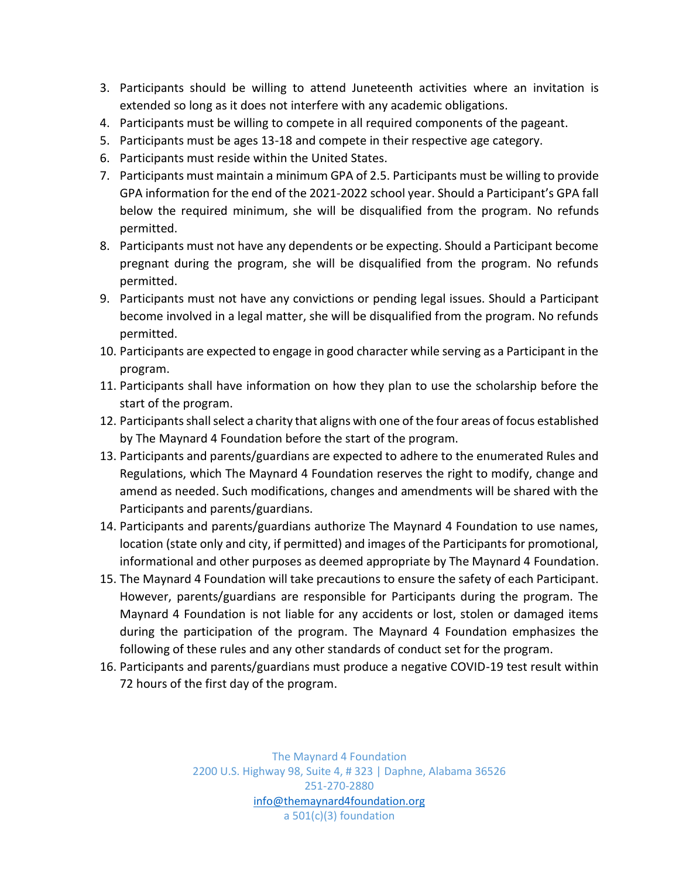- 3. Participants should be willing to attend Juneteenth activities where an invitation is extended so long as it does not interfere with any academic obligations.
- 4. Participants must be willing to compete in all required components of the pageant.
- 5. Participants must be ages 13-18 and compete in their respective age category.
- 6. Participants must reside within the United States.
- 7. Participants must maintain a minimum GPA of 2.5. Participants must be willing to provide GPA information for the end of the 2021-2022 school year. Should a Participant's GPA fall below the required minimum, she will be disqualified from the program. No refunds permitted.
- 8. Participants must not have any dependents or be expecting. Should a Participant become pregnant during the program, she will be disqualified from the program. No refunds permitted.
- 9. Participants must not have any convictions or pending legal issues. Should a Participant become involved in a legal matter, she will be disqualified from the program. No refunds permitted.
- 10. Participants are expected to engage in good character while serving as a Participant in the program.
- 11. Participants shall have information on how they plan to use the scholarship before the start of the program.
- 12. Participants shall select a charity that aligns with one of the four areas of focus established by The Maynard 4 Foundation before the start of the program.
- 13. Participants and parents/guardians are expected to adhere to the enumerated Rules and Regulations, which The Maynard 4 Foundation reserves the right to modify, change and amend as needed. Such modifications, changes and amendments will be shared with the Participants and parents/guardians.
- 14. Participants and parents/guardians authorize The Maynard 4 Foundation to use names, location (state only and city, if permitted) and images of the Participants for promotional, informational and other purposes as deemed appropriate by The Maynard 4 Foundation.
- 15. The Maynard 4 Foundation will take precautions to ensure the safety of each Participant. However, parents/guardians are responsible for Participants during the program. The Maynard 4 Foundation is not liable for any accidents or lost, stolen or damaged items during the participation of the program. The Maynard 4 Foundation emphasizes the following of these rules and any other standards of conduct set for the program.
- 16. Participants and parents/guardians must produce a negative COVID-19 test result within 72 hours of the first day of the program.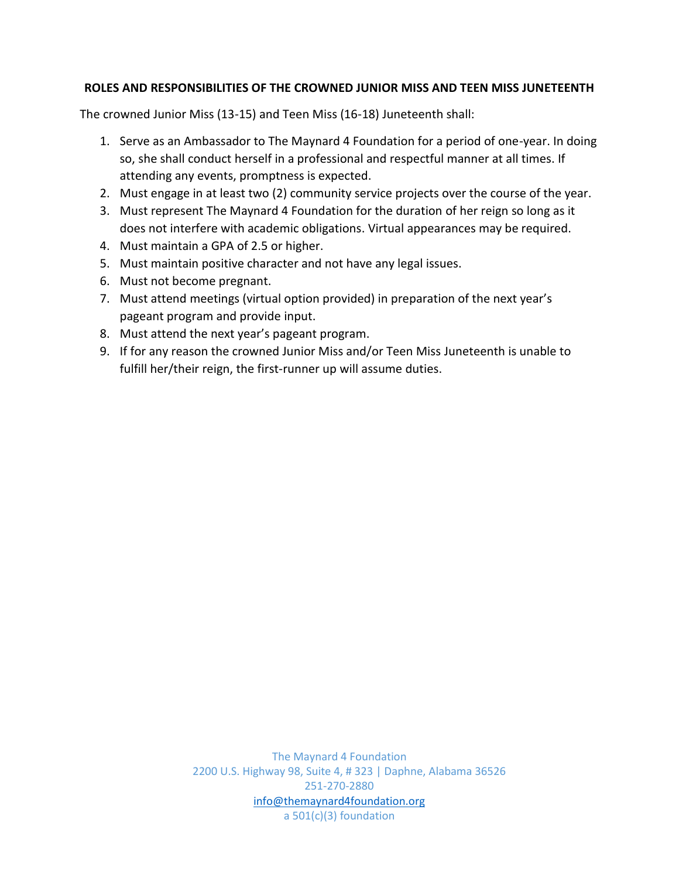# **ROLES AND RESPONSIBILITIES OF THE CROWNED JUNIOR MISS AND TEEN MISS JUNETEENTH**

The crowned Junior Miss (13-15) and Teen Miss (16-18) Juneteenth shall:

- 1. Serve as an Ambassador to The Maynard 4 Foundation for a period of one-year. In doing so, she shall conduct herself in a professional and respectful manner at all times. If attending any events, promptness is expected.
- 2. Must engage in at least two (2) community service projects over the course of the year.
- 3. Must represent The Maynard 4 Foundation for the duration of her reign so long as it does not interfere with academic obligations. Virtual appearances may be required.
- 4. Must maintain a GPA of 2.5 or higher.
- 5. Must maintain positive character and not have any legal issues.
- 6. Must not become pregnant.
- 7. Must attend meetings (virtual option provided) in preparation of the next year's pageant program and provide input.
- 8. Must attend the next year's pageant program.
- 9. If for any reason the crowned Junior Miss and/or Teen Miss Juneteenth is unable to fulfill her/their reign, the first-runner up will assume duties.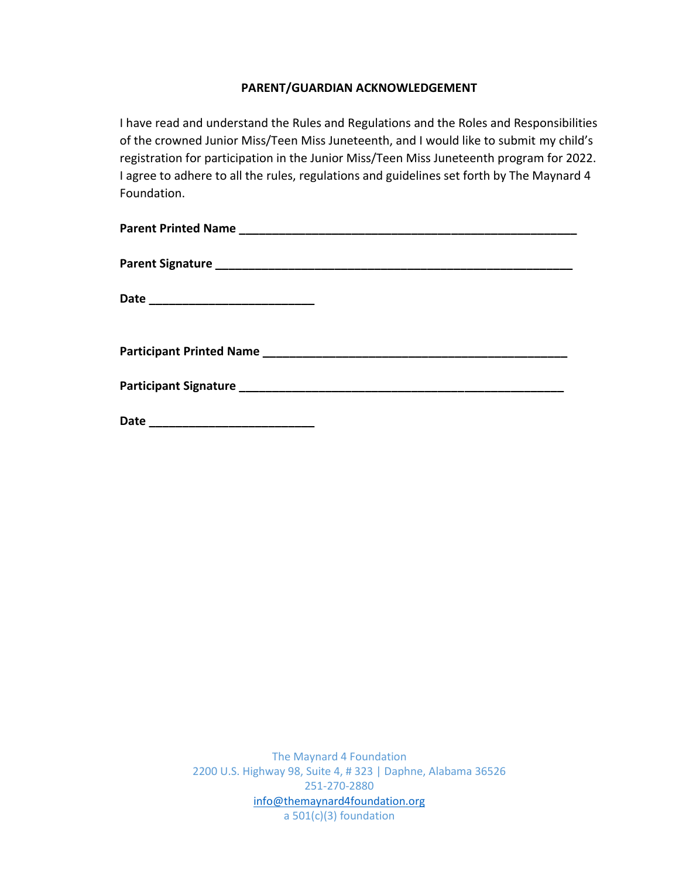## **PARENT/GUARDIAN ACKNOWLEDGEMENT**

I have read and understand the Rules and Regulations and the Roles and Responsibilities of the crowned Junior Miss/Teen Miss Juneteenth, and I would like to submit my child's registration for participation in the Junior Miss/Teen Miss Juneteenth program for 2022. I agree to adhere to all the rules, regulations and guidelines set forth by The Maynard 4 Foundation.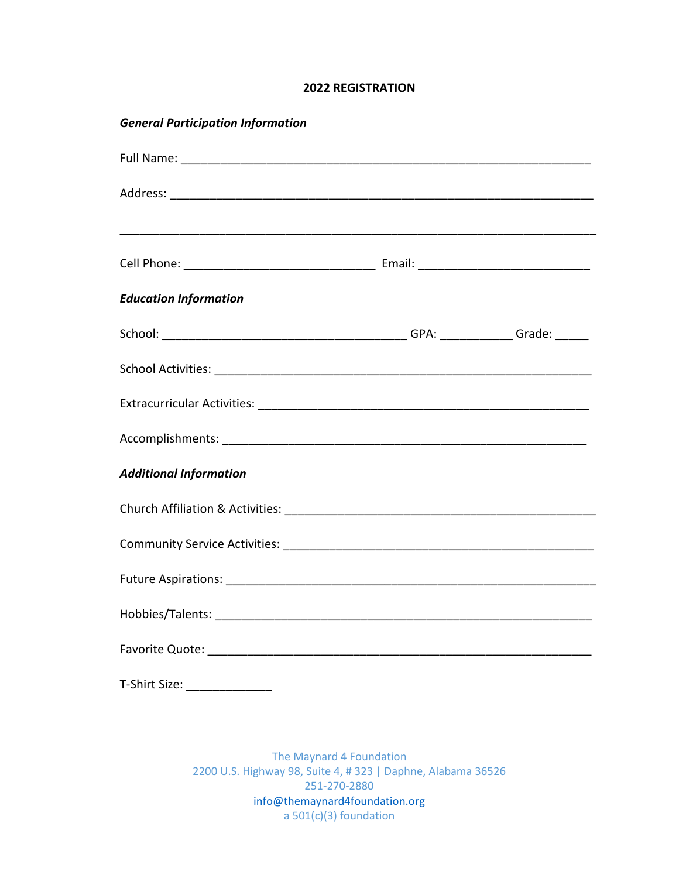### **2022 REGISTRATION**

| <b>General Participation Information</b> |  |  |  |
|------------------------------------------|--|--|--|
|                                          |  |  |  |
|                                          |  |  |  |
|                                          |  |  |  |
| <b>Education Information</b>             |  |  |  |
|                                          |  |  |  |
|                                          |  |  |  |
|                                          |  |  |  |
|                                          |  |  |  |
| <b>Additional Information</b>            |  |  |  |
|                                          |  |  |  |
|                                          |  |  |  |
|                                          |  |  |  |
|                                          |  |  |  |
|                                          |  |  |  |
| T-Shirt Size: ________________           |  |  |  |